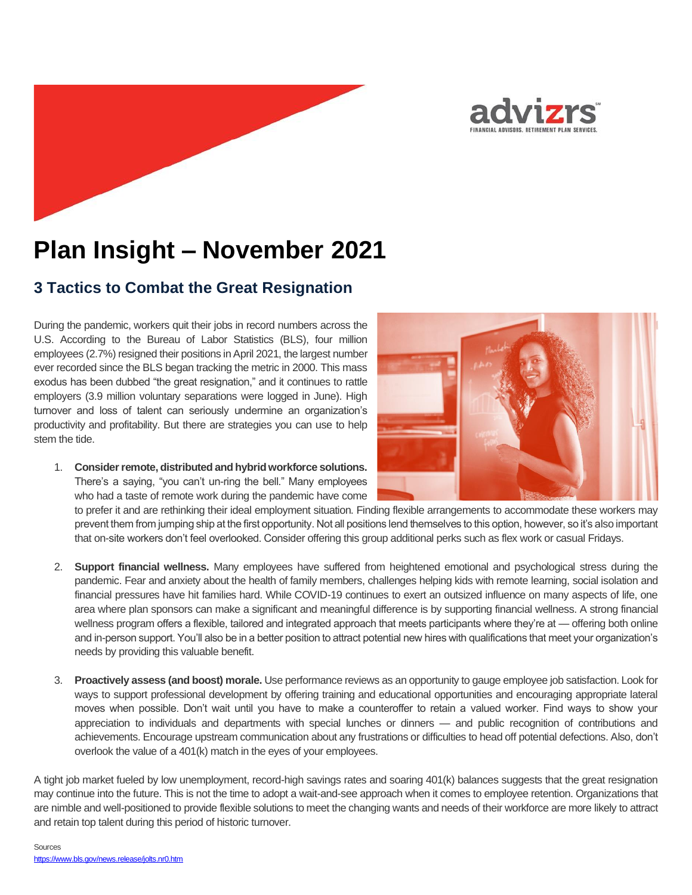

# **Plan Insight – November 2021**

## **3 Tactics to Combat the Great Resignation**

During the pandemic, workers quit their jobs in record numbers across the U.S. According to the Bureau of Labor Statistics (BLS), four million employees (2.7%) resigned their positions in April 2021, the largest number ever recorded since the BLS began tracking the metric in 2000. This mass exodus has been dubbed "the great resignation," and it continues to rattle employers (3.9 million voluntary separations were logged in June). High turnover and loss of talent can seriously undermine an organization's productivity and profitability. But there are strategies you can use to help stem the tide.

1. **Consider remote, distributed and hybrid workforce solutions.** There's a saying, "you can't un-ring the bell." Many employees who had a taste of remote work during the pandemic have come



to prefer it and are rethinking their ideal employment situation. Finding flexible arrangements to accommodate these workers may prevent them from jumping ship at the first opportunity. Not all positions lend themselves to this option, however, so it's also important that on-site workers don't feel overlooked. Consider offering this group additional perks such as flex work or casual Fridays.

- 2. **Support financial wellness.** Many employees have suffered from heightened emotional and psychological stress during the pandemic. Fear and anxiety about the health of family members, challenges helping kids with remote learning, social isolation and financial pressures have hit families hard. While COVID-19 continues to exert an outsized influence on many aspects of life, one area where plan sponsors can make a significant and meaningful difference is by supporting financial wellness. A strong financial wellness program offers a flexible, tailored and integrated approach that meets participants where they're at — offering both online and in-person support. You'll also be in a better position to attract potential new hires with qualifications that meet your organization's needs by providing this valuable benefit.
- 3. **Proactively assess (and boost) morale.** Use performance reviews as an opportunity to gauge employee job satisfaction. Look for ways to support professional development by offering training and educational opportunities and encouraging appropriate lateral moves when possible. Don't wait until you have to make a counteroffer to retain a valued worker. Find ways to show your appreciation to individuals and departments with special lunches or dinners — and public recognition of contributions and achievements. Encourage upstream communication about any frustrations or difficulties to head off potential defections. Also, don't overlook the value of a 401(k) match in the eyes of your employees.

A tight job market fueled by low unemployment, record-high savings rates and soaring 401(k) balances suggests that the great resignation may continue into the future. This is not the time to adopt a wait-and-see approach when it comes to employee retention. Organizations that are nimble and well-positioned to provide flexible solutions to meet the changing wants and needs of their workforce are more likely to attract and retain top talent during this period of historic turnover.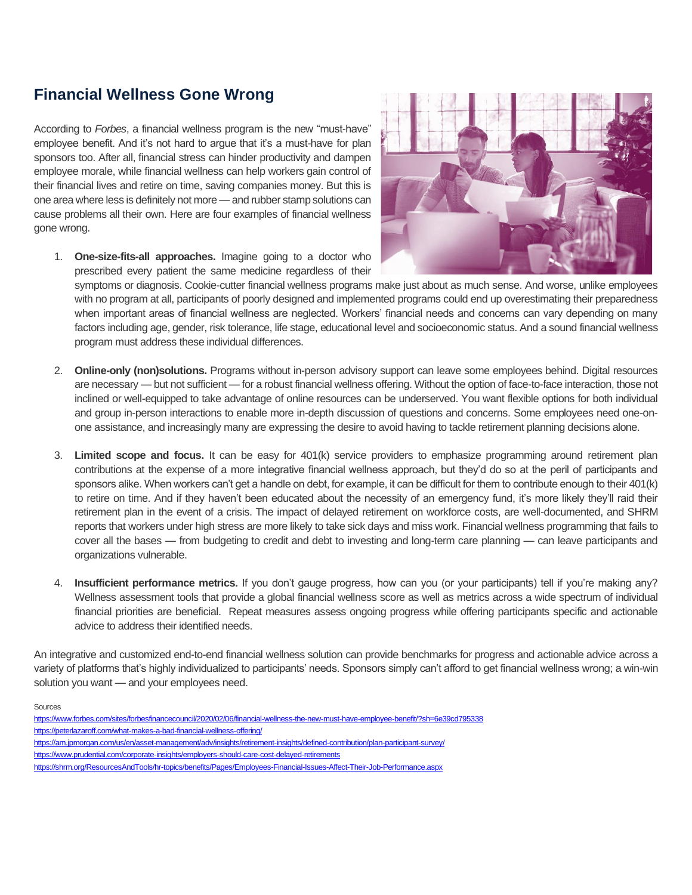## **Financial Wellness Gone Wrong**

According to *Forbes*, a financial wellness program is the new "must-have" employee benefit. And it's not hard to argue that it's a must-have for plan sponsors too. After all, financial stress can hinder productivity and dampen employee morale, while financial wellness can help workers gain control of their financial lives and retire on time, saving companies money. But this is one area where less is definitely not more — and rubber stamp solutions can cause problems all their own. Here are four examples of financial wellness gone wrong.



1. **One-size-fits-all approaches.** Imagine going to a doctor who prescribed every patient the same medicine regardless of their

symptoms or diagnosis. Cookie-cutter financial wellness programs make just about as much sense. And worse, unlike employees with no program at all, participants of poorly designed and implemented programs could end up overestimating their preparedness when important areas of financial wellness are neglected. Workers' financial needs and concerns can vary depending on many factors including age, gender, risk tolerance, life stage, educational level and socioeconomic status. And a sound financial wellness program must address these individual differences.

- 2. **Online-only (non)solutions.** Programs without in-person advisory support can leave some employees behind. Digital resources are necessary — but not sufficient — for a robust financial wellness offering. Without the option of face-to-face interaction, those not inclined or well-equipped to take advantage of online resources can be underserved. You want flexible options for both individual and group in-person interactions to enable more in-depth discussion of questions and concerns. Some employees need one-onone assistance, and increasingly many are expressing the desire to avoid having to tackle retirement planning decisions alone.
- 3. **Limited scope and focus.** It can be easy for 401(k) service providers to emphasize programming around retirement plan contributions at the expense of a more integrative financial wellness approach, but they'd do so at the peril of participants and sponsors alike. When workers can't get a handle on debt, for example, it can be difficult for them to contribute enough to their 401(k) to retire on time. And if they haven't been educated about the necessity of an emergency fund, it's more likely they'll raid their retirement plan in the event of a crisis. The impact of delayed retirement on workforce costs, are well-documented, and SHRM reports that workers under high stress are more likely to take sick days and miss work. Financial wellness programming that fails to cover all the bases — from budgeting to credit and debt to investing and long-term care planning — can leave participants and organizations vulnerable.
- 4. **Insufficient performance metrics.** If you don't gauge progress, how can you (or your participants) tell if you're making any? Wellness assessment tools that provide a global financial wellness score as well as metrics across a wide spectrum of individual financial priorities are beneficial. Repeat measures assess ongoing progress while offering participants specific and actionable advice to address their identified needs.

An integrative and customized end-to-end financial wellness solution can provide benchmarks for progress and actionable advice across a variety of platforms that's highly individualized to participants' needs. Sponsors simply can't afford to get financial wellness wrong; a win-win solution you want — and your employees need.

Sources

- <https://www.forbes.com/sites/forbesfinancecouncil/2020/02/06/financial-wellness-the-new-must-have-employee-benefit/?sh=6e39cd795338> <https://peterlazaroff.com/what-makes-a-bad-financial-wellness-offering/>
- <https://am.jpmorgan.com/us/en/asset-management/adv/insights/retirement-insights/defined-contribution/plan-participant-survey/>
- <https://www.prudential.com/corporate-insights/employers-should-care-cost-delayed-retirements>

<https://shrm.org/ResourcesAndTools/hr-topics/benefits/Pages/Employees-Financial-Issues-Affect-Their-Job-Performance.aspx>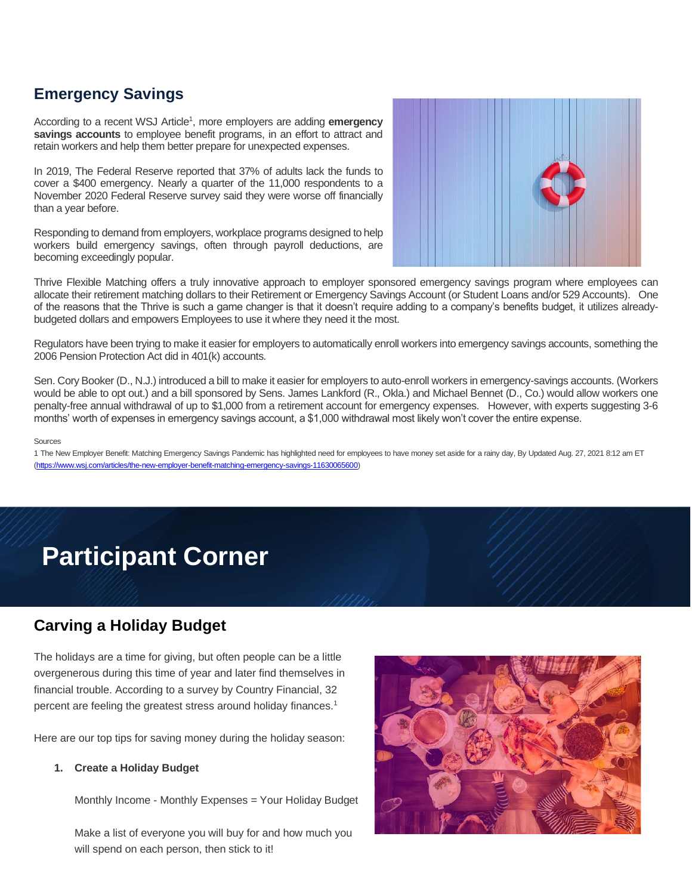# **Emergency Savings**

According to a recent WSJ Article<sup>1</sup>, more employers are adding **emergency savings accounts** to employee benefit programs, in an effort to attract and retain workers and help them better prepare for unexpected expenses.

In 2019, The Federal Reserve reported that 37% of adults lack the funds to cover a \$400 emergency. Nearly a quarter of the 11,000 respondents to a November 2020 Federal Reserve survey said they were worse off financially than a year before.

Responding to demand from employers, workplace programs designed to help workers build emergency savings, often through payroll deductions, are becoming exceedingly popular.



Thrive Flexible Matching offers a truly innovative approach to employer sponsored emergency savings program where employees can allocate their retirement matching dollars to their Retirement or Emergency Savings Account (or Student Loans and/or 529 Accounts). One of the reasons that the Thrive is such a game changer is that it doesn't require adding to a company's benefits budget, it utilizes alreadybudgeted dollars and empowers Employees to use it where they need it the most.

Regulators have been trying to make it easier for employers to automatically enroll workers into emergency savings accounts, something the 2006 Pension Protection Act did in 401(k) accounts.

Sen. Cory Booker (D., N.J.) introduced a bill to make it easier for employers to auto-enroll workers in emergency-savings accounts. (Workers would be able to opt out.) and a bill sponsored by Sens. James Lankford (R., Okla.) and Michael Bennet (D., Co.) would allow workers one penalty-free annual withdrawal of up to \$1,000 from a retirement account for emergency expenses. However, with experts suggesting 3-6 months' worth of expenses in emergency savings account, a \$1,000 withdrawal most likely won't cover the entire expense.

### Sources

1 The New Employer Benefit: Matching Emergency Savings Pandemic has highlighted need for employees to have money set aside for a rainy day, By Updated Aug. 27, 2021 8:12 am ET [\(https://www.wsj.com/articles/the-new-employer-benefit-matching-emergency-savings-11630065600\)](https://www.wsj.com/articles/the-new-employer-benefit-matching-emergency-savings-11630065600)

# **Participant Corner**

## **Carving a Holiday Budget**

The holidays are a time for giving, but often people can be a little overgenerous during this time of year and later find themselves in financial trouble. According to a survey by Country Financial, 32 percent are feeling the greatest stress around holiday finances.<sup>1</sup>

Here are our top tips for saving money during the holiday season:

## **1. Create a Holiday Budget**

Monthly Income - Monthly Expenses = Your Holiday Budget

Make a list of everyone you will buy for and how much you will spend on each person, then stick to it!